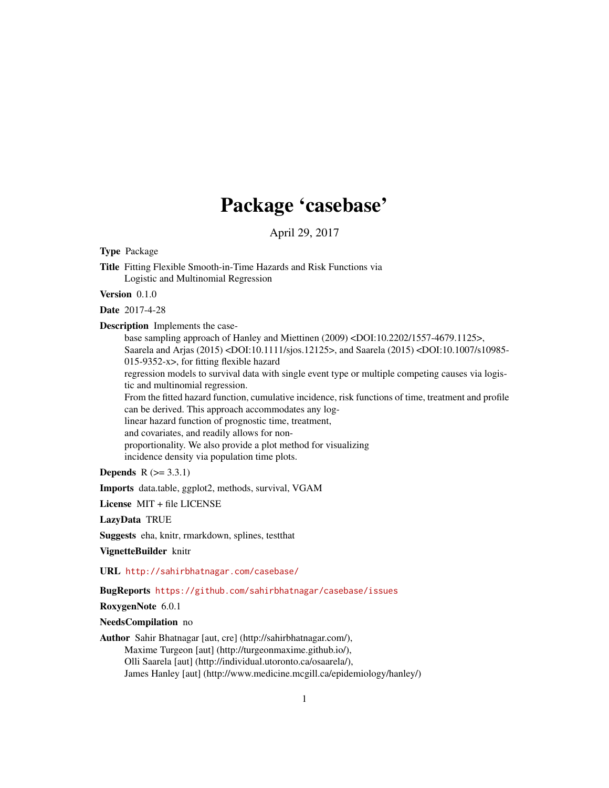## Package 'casebase'

April 29, 2017

<span id="page-0-0"></span>Type Package

Title Fitting Flexible Smooth-in-Time Hazards and Risk Functions via Logistic and Multinomial Regression

Version 0.1.0

Date 2017-4-28

Description Implements the case-

base sampling approach of Hanley and Miettinen (2009) <DOI:10.2202/1557-4679.1125>, Saarela and Arjas (2015) <DOI:10.1111/sjos.12125>, and Saarela (2015) <DOI:10.1007/s10985- 015-9352-x>, for fitting flexible hazard

regression models to survival data with single event type or multiple competing causes via logistic and multinomial regression.

From the fitted hazard function, cumulative incidence, risk functions of time, treatment and profile can be derived. This approach accommodates any log-

linear hazard function of prognostic time, treatment,

and covariates, and readily allows for non-

proportionality. We also provide a plot method for visualizing

incidence density via population time plots.

**Depends**  $R$  ( $>= 3.3.1$ )

Imports data.table, ggplot2, methods, survival, VGAM

License MIT + file LICENSE

LazyData TRUE

Suggests eha, knitr, rmarkdown, splines, testthat

VignetteBuilder knitr

URL <http://sahirbhatnagar.com/casebase/>

BugReports <https://github.com/sahirbhatnagar/casebase/issues>

RoxygenNote 6.0.1

NeedsCompilation no

Author Sahir Bhatnagar [aut, cre] (http://sahirbhatnagar.com/), Maxime Turgeon [aut] (http://turgeonmaxime.github.io/), Olli Saarela [aut] (http://individual.utoronto.ca/osaarela/), James Hanley [aut] (http://www.medicine.mcgill.ca/epidemiology/hanley/)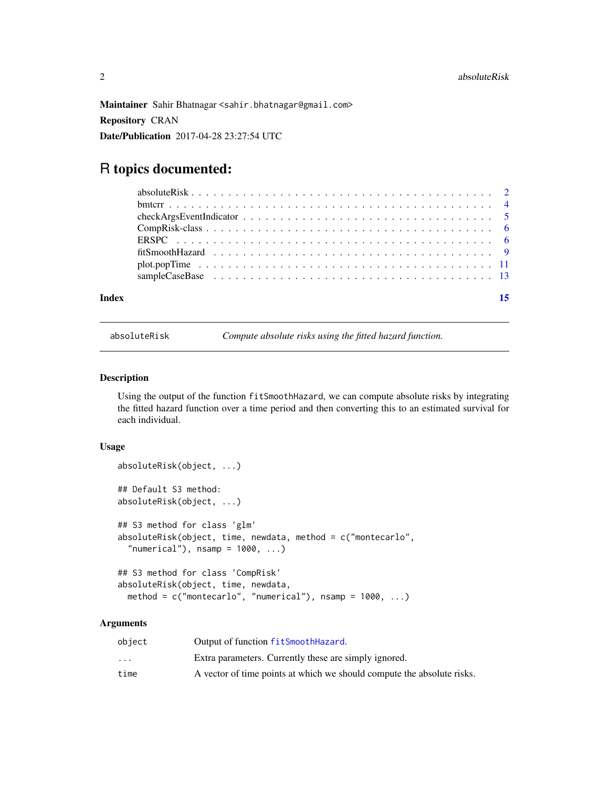<span id="page-1-0"></span>Maintainer Sahir Bhatnagar <sahir.bhatnagar@gmail.com>

Repository CRAN

Date/Publication 2017-04-28 23:27:54 UTC

### R topics documented:

#### **Index** [15](#page-14-0)

<span id="page-1-1"></span>

absoluteRisk *Compute absolute risks using the fitted hazard function.*

#### Description

Using the output of the function fitSmoothHazard, we can compute absolute risks by integrating the fitted hazard function over a time period and then converting this to an estimated survival for each individual.

#### Usage

```
absoluteRisk(object, ...)
## Default S3 method:
absoluteRisk(object, ...)
## S3 method for class 'glm'
absoluteRisk(object, time, newdata, method = c("montecarlo",
  "numerical"), n\tan p = 1000, ...## S3 method for class 'CompRisk'
absoluteRisk(object, time, newdata,
 method = c("montecarlo", "numerical"), nsamp = 1000, ...)
```
#### Arguments

| object                  | Output of function fitSmoothHazard.                                    |
|-------------------------|------------------------------------------------------------------------|
| $\cdot$ $\cdot$ $\cdot$ | Extra parameters. Currently these are simply ignored.                  |
| time                    | A vector of time points at which we should compute the absolute risks. |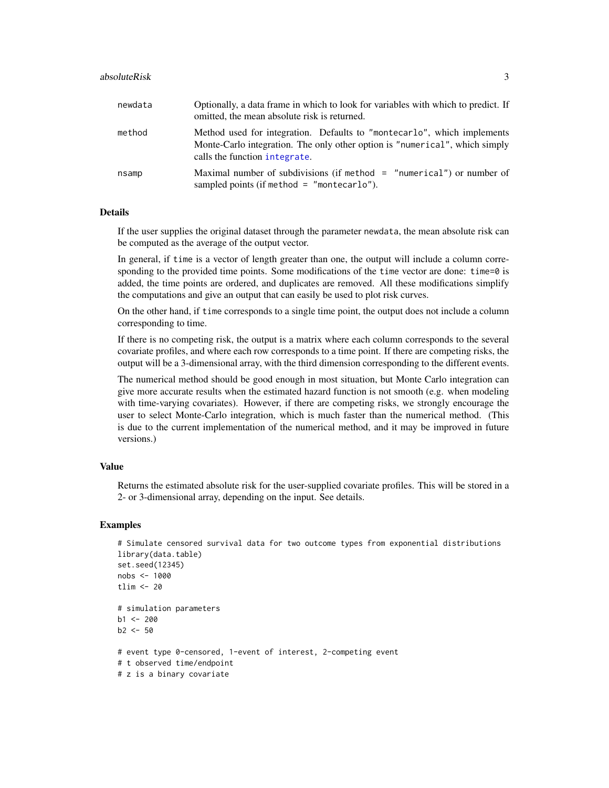#### <span id="page-2-0"></span>absoluteRisk 3

| newdata | Optionally, a data frame in which to look for variables with which to predict. If<br>omitted, the mean absolute risk is returned.                                                       |
|---------|-----------------------------------------------------------------------------------------------------------------------------------------------------------------------------------------|
| method  | Method used for integration. Defaults to "montecarlo", which implements<br>Monte-Carlo integration. The only other option is "numerical", which simply<br>calls the function integrate. |
| nsamp   | Maximal number of subdivisions (if method $=$ "numerical") or number of<br>sampled points (if method $=$ "montecarlo").                                                                 |

#### Details

If the user supplies the original dataset through the parameter newdata, the mean absolute risk can be computed as the average of the output vector.

In general, if time is a vector of length greater than one, the output will include a column corresponding to the provided time points. Some modifications of the time vector are done: time=0 is added, the time points are ordered, and duplicates are removed. All these modifications simplify the computations and give an output that can easily be used to plot risk curves.

On the other hand, if time corresponds to a single time point, the output does not include a column corresponding to time.

If there is no competing risk, the output is a matrix where each column corresponds to the several covariate profiles, and where each row corresponds to a time point. If there are competing risks, the output will be a 3-dimensional array, with the third dimension corresponding to the different events.

The numerical method should be good enough in most situation, but Monte Carlo integration can give more accurate results when the estimated hazard function is not smooth (e.g. when modeling with time-varying covariates). However, if there are competing risks, we strongly encourage the user to select Monte-Carlo integration, which is much faster than the numerical method. (This is due to the current implementation of the numerical method, and it may be improved in future versions.)

#### Value

Returns the estimated absolute risk for the user-supplied covariate profiles. This will be stored in a 2- or 3-dimensional array, depending on the input. See details.

```
# Simulate censored survival data for two outcome types from exponential distributions
library(data.table)
set.seed(12345)
nobs <- 1000
tlim < -20# simulation parameters
b1 < -200b2 < -50# event type 0-censored, 1-event of interest, 2-competing event
# t observed time/endpoint
# z is a binary covariate
```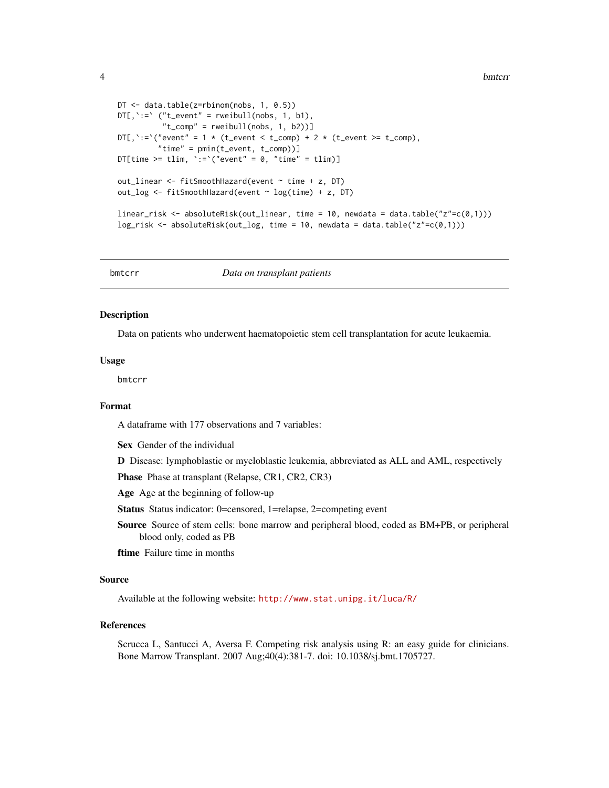```
DT <- data.table(z=rbinom(nobs, 1, 0.5))
DT[, \rightrightarrows" ("t_event" = rweibull(nobs, 1, b1),
           "t_{comp" = rweibull(nobs, 1, b2))]DT[, `:=`("event" = 1 * (t_events < t_{comp}) + 2 * (t_events > t_{comp}),"time" = pmin(t_event, t_comp))]
DT[time >= tlim, \text{':=}'("event" = 0, "time" = tlim)]
out_linear <- fitSmoothHazard(event ~ time + z, DT)
out_log <- fitSmoothHazard(event ~ log(time) + z, DT)
linear_risk <- absoluteRisk(out_linear, time = 10, newdata = data.table("z"=c(0,1)))
log_risk <- absoluteRisk(out_log, time = 10, newdata = data.table("z"=c(0,1)))
```
bmtcrr *Data on transplant patients*

#### **Description**

Data on patients who underwent haematopoietic stem cell transplantation for acute leukaemia.

#### Usage

bmtcrr

#### Format

A dataframe with 177 observations and 7 variables:

Sex Gender of the individual

D Disease: lymphoblastic or myeloblastic leukemia, abbreviated as ALL and AML, respectively

Phase Phase at transplant (Relapse, CR1, CR2, CR3)

Age Age at the beginning of follow-up

Status Status indicator: 0=censored, 1=relapse, 2=competing event

Source Source of stem cells: bone marrow and peripheral blood, coded as BM+PB, or peripheral blood only, coded as PB

ftime Failure time in months

#### Source

Available at the following website: <http://www.stat.unipg.it/luca/R/>

#### References

Scrucca L, Santucci A, Aversa F. Competing risk analysis using R: an easy guide for clinicians. Bone Marrow Transplant. 2007 Aug;40(4):381-7. doi: 10.1038/sj.bmt.1705727.

<span id="page-3-0"></span>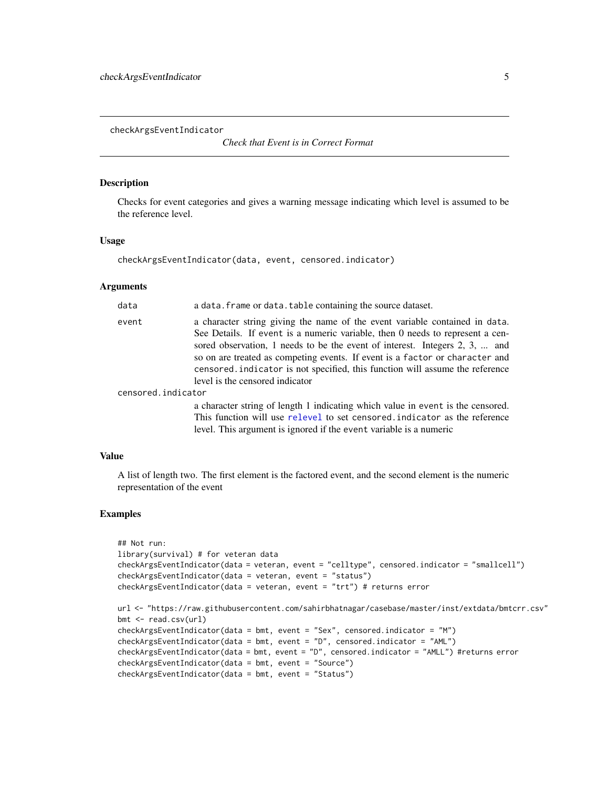<span id="page-4-0"></span>checkArgsEventIndicator

*Check that Event is in Correct Format*

#### **Description**

Checks for event categories and gives a warning message indicating which level is assumed to be the reference level.

#### Usage

checkArgsEventIndicator(data, event, censored.indicator)

#### Arguments

| data               | a data. frame or data. table containing the source dataset.                                                                                                                                                                                                                                                                                                                                                                                    |
|--------------------|------------------------------------------------------------------------------------------------------------------------------------------------------------------------------------------------------------------------------------------------------------------------------------------------------------------------------------------------------------------------------------------------------------------------------------------------|
| event              | a character string giving the name of the event variable contained in data.<br>See Details. If event is a numeric variable, then 0 needs to represent a cen-<br>sored observation, 1 needs to be the event of interest. Integers 2, 3,  and<br>so on are treated as competing events. If event is a factor or character and<br>censored indicator is not specified, this function will assume the reference<br>level is the censored indicator |
| censored.indicator |                                                                                                                                                                                                                                                                                                                                                                                                                                                |
|                    | a character string of length 1 indicating which value in event is the censored.<br>This function will use relevel to set censored indicator as the reference                                                                                                                                                                                                                                                                                   |

#### Value

A list of length two. The first element is the factored event, and the second element is the numeric representation of the event

level. This argument is ignored if the event variable is a numeric

```
## Not run:
library(survival) # for veteran data
checkArgsEventIndicator(data = veteran, event = "celltype", censored.indicator = "smallcell")
checkArgsEventIndicator(data = veteran, event = "status")
checkArgsEventIndicator(data = veteran, event = "trt") # returns error
url <- "https://raw.githubusercontent.com/sahirbhatnagar/casebase/master/inst/extdata/bmtcrr.csv"
bmt <- read.csv(url)
checkArgsEventIndicator(data = bmt, event = "Sex", censored.indicator = "M")
checkArgsEventIndicator(data = bmt, event = "D", censored.indicator = "AML")
checkArgsEventIndicator(data = bmt, event = "D", censored.indicator = "AMLL") #returns error
checkArgsEventIndicator(data = bmt, event = "Source")
checkArgsEventIndicator(data = bmt, event = "Status")
```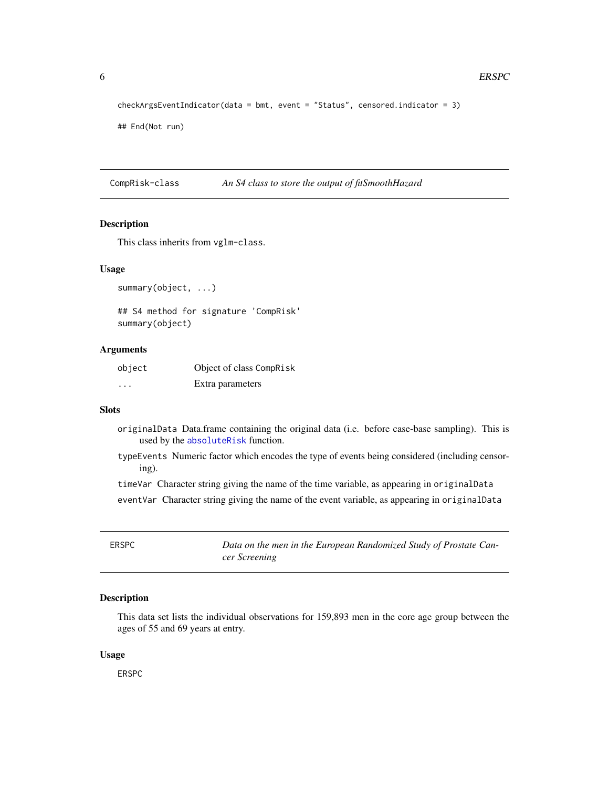```
checkArgsEventIndicator(data = bmt, event = "Status", censored.indicator = 3)
```
## End(Not run)

CompRisk-class *An S4 class to store the output of fitSmoothHazard*

#### <span id="page-5-1"></span>Description

This class inherits from vglm-class.

#### Usage

```
summary(object, ...)
```
## S4 method for signature 'CompRisk' summary(object)

#### Arguments

| object | Object of class CompRisk |
|--------|--------------------------|
| .      | Extra parameters         |

#### **Slots**

- originalData Data.frame containing the original data (i.e. before case-base sampling). This is used by the [absoluteRisk](#page-1-1) function.
- typeEvents Numeric factor which encodes the type of events being considered (including censoring).

timeVar Character string giving the name of the time variable, as appearing in originalData

eventVar Character string giving the name of the event variable, as appearing in originalData

ERSPC *Data on the men in the European Randomized Study of Prostate Cancer Screening*

#### Description

This data set lists the individual observations for 159,893 men in the core age group between the ages of 55 and 69 years at entry.

#### Usage

ERSPC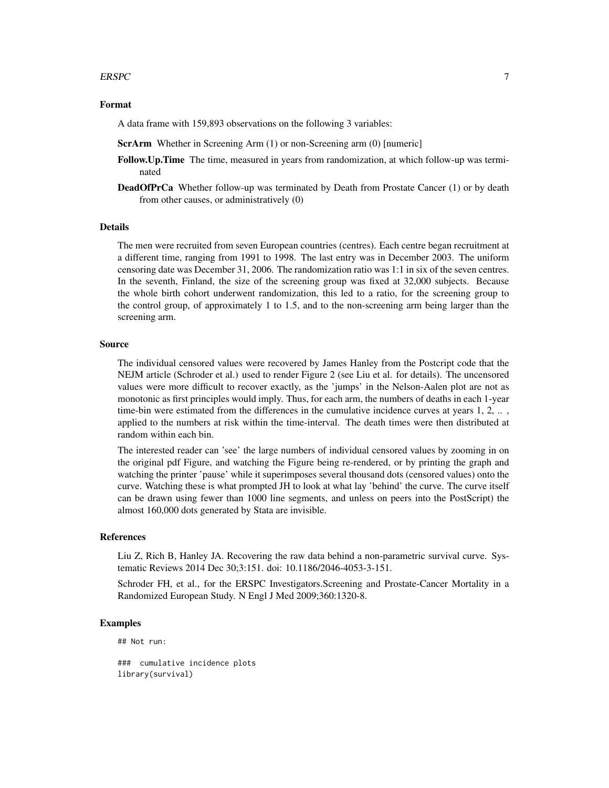#### $ERSPC$  7

#### Format

A data frame with 159,893 observations on the following 3 variables:

ScrArm Whether in Screening Arm (1) or non-Screening arm (0) [numeric]

- Follow.Up.Time The time, measured in years from randomization, at which follow-up was terminated
- **DeadOfPrCa** Whether follow-up was terminated by Death from Prostate Cancer (1) or by death from other causes, or administratively (0)

#### Details

The men were recruited from seven European countries (centres). Each centre began recruitment at a different time, ranging from 1991 to 1998. The last entry was in December 2003. The uniform censoring date was December 31, 2006. The randomization ratio was 1:1 in six of the seven centres. In the seventh, Finland, the size of the screening group was fixed at 32,000 subjects. Because the whole birth cohort underwent randomization, this led to a ratio, for the screening group to the control group, of approximately 1 to 1.5, and to the non-screening arm being larger than the screening arm.

#### Source

The individual censored values were recovered by James Hanley from the Postcript code that the NEJM article (Schroder et al.) used to render Figure 2 (see Liu et al. for details). The uncensored values were more difficult to recover exactly, as the 'jumps' in the Nelson-Aalen plot are not as monotonic as first principles would imply. Thus, for each arm, the numbers of deaths in each 1-year time-bin were estimated from the differences in the cumulative incidence curves at years  $1, 2, \ldots$ , applied to the numbers at risk within the time-interval. The death times were then distributed at random within each bin.

The interested reader can 'see' the large numbers of individual censored values by zooming in on the original pdf Figure, and watching the Figure being re-rendered, or by printing the graph and watching the printer 'pause' while it superimposes several thousand dots (censored values) onto the curve. Watching these is what prompted JH to look at what lay 'behind' the curve. The curve itself can be drawn using fewer than 1000 line segments, and unless on peers into the PostScript) the almost 160,000 dots generated by Stata are invisible.

#### References

Liu Z, Rich B, Hanley JA. Recovering the raw data behind a non-parametric survival curve. Systematic Reviews 2014 Dec 30;3:151. doi: 10.1186/2046-4053-3-151.

Schroder FH, et al., for the ERSPC Investigators.Screening and Prostate-Cancer Mortality in a Randomized European Study. N Engl J Med 2009;360:1320-8.

#### Examples

## Not run:

### cumulative incidence plots library(survival)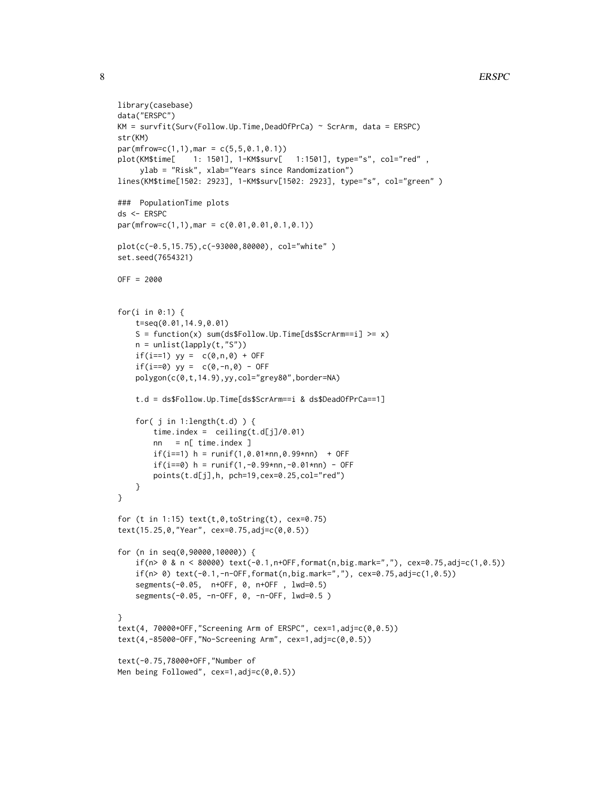```
library(casebase)
data("ERSPC")
KM = survfit(Surv(Follow.Up.Time,DeadOfPrCa) ~ ScrArm, data = ERSPC)
str(KM)
par(mfrow=c(1,1),mar = c(5,5,0.1,0.1))plot(KM$time[ 1: 1501], 1-KM$surv[ 1:1501], type="s", col="red" ,
     ylab = "Risk", xlab="Years since Randomization")
lines(KM$time[1502: 2923], 1-KM$surv[1502: 2923], type="s", col="green" )
### PopulationTime plots
ds <- ERSPC
par(mfrow=c(1,1),mar = c(0.01,0.01,0.1,0.1))plot(c(-0.5,15.75),c(-93000,80000), col="white" )
set.seed(7654321)
OFF = 2000
for(i in 0:1) {
    t=seq(0.01,14.9,0.01)
    S = function(x) sum(ds$Follow.Up.Time[ds$ScrArm==i] >= x)
   n = unlist(lapply(t,"S"))
    if(i==1) yy = c(0, n, 0) + 0FFif(i==0) yy = c(0,-n,0) - OFFpolygon(c(0,t,14.9),yy,col="grey80",border=NA)
    t.d = ds$Follow.Up.Time[ds$ScrArm==i & ds$DeadOfPrCa==1]
    for(j in 1:length(t.d) (time.index = ceiling(t.d[j]/0.01)nn = n[ time.index ]
        if(i==1) h = runif(1,0.01*nn,0.99*nn) + OFF
        if(i==0) h = runif(1,-0.99*nn,-0.01*nn) - OFF
        points(t.d[j],h, pch=19,cex=0.25,col="red")
    }
}
for (t in 1:15) text(t,0,tofstring(t), cex=0.75)text(15.25,0,"Year", cex=0.75,adj=c(0,0.5))
for (n in seq(0,90000,10000)) {
    if(n> 0 & n < 80000) text(-0.1,n+OFF,format(n,big.mark=","), cex=0.75,adj=c(1,0.5))
    if(n> 0) text(-0.1,-n-OFF,format(n,big.mark=","), cex=0.75,adj=c(1,0.5))
    segments(-0.05, n+OFF, 0, n+OFF , lwd=0.5)
    segments(-0.05, -n-OFF, 0, -n-OFF, lwd=0.5 )
}
text(4, 70000+OFF,"Screening Arm of ERSPC", cex=1,adj=c(0,0.5))
text(4,-85000-OFF,"No-Screening Arm", cex=1,adj=c(0,0.5))
text(-0.75,78000+OFF,"Number of
Men being Followed", cex=1,adj=c(0,0.5))
```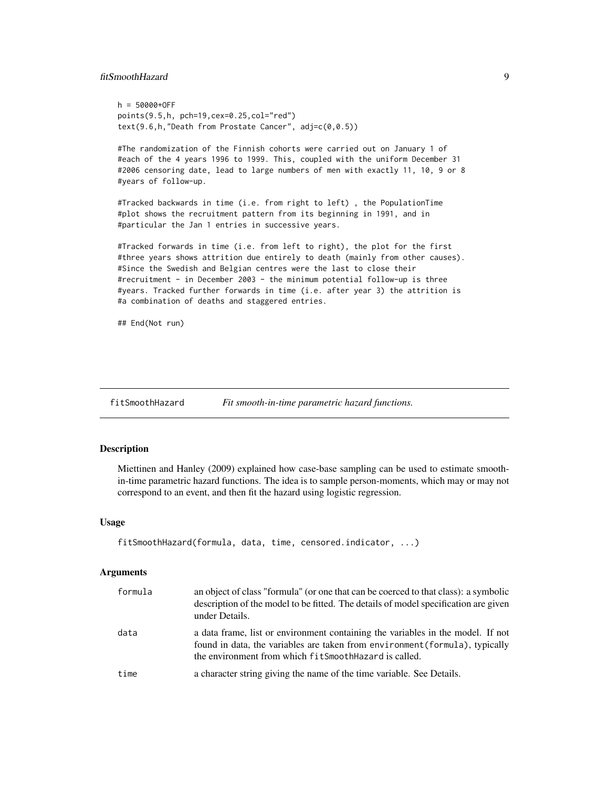#### <span id="page-8-0"></span>fitSmoothHazard 9

 $h = 50000+0FF$ points(9.5,h, pch=19,cex=0.25,col="red") text(9.6,h,"Death from Prostate Cancer", adj=c(0,0.5))

#The randomization of the Finnish cohorts were carried out on January 1 of #each of the 4 years 1996 to 1999. This, coupled with the uniform December 31 #2006 censoring date, lead to large numbers of men with exactly 11, 10, 9 or 8 #years of follow-up.

#Tracked backwards in time (i.e. from right to left) , the PopulationTime #plot shows the recruitment pattern from its beginning in 1991, and in #particular the Jan 1 entries in successive years.

#Tracked forwards in time (i.e. from left to right), the plot for the first #three years shows attrition due entirely to death (mainly from other causes). #Since the Swedish and Belgian centres were the last to close their #recruitment - in December 2003 - the minimum potential follow-up is three #years. Tracked further forwards in time (i.e. after year 3) the attrition is #a combination of deaths and staggered entries.

## End(Not run)

<span id="page-8-1"></span>fitSmoothHazard *Fit smooth-in-time parametric hazard functions.*

#### Description

Miettinen and Hanley (2009) explained how case-base sampling can be used to estimate smoothin-time parametric hazard functions. The idea is to sample person-moments, which may or may not correspond to an event, and then fit the hazard using logistic regression.

#### Usage

```
fitSmoothHazard(formula, data, time, censored.indicator, ...)
```
#### Arguments

| formula | an object of class "formula" (or one that can be coerced to that class): a symbolic<br>description of the model to be fitted. The details of model specification are given<br>under Details.                               |
|---------|----------------------------------------------------------------------------------------------------------------------------------------------------------------------------------------------------------------------------|
| data    | a data frame, list or environment containing the variables in the model. If not<br>found in data, the variables are taken from environment (formula), typically<br>the environment from which fit Smooth Hazard is called. |
| time    | a character string giving the name of the time variable. See Details.                                                                                                                                                      |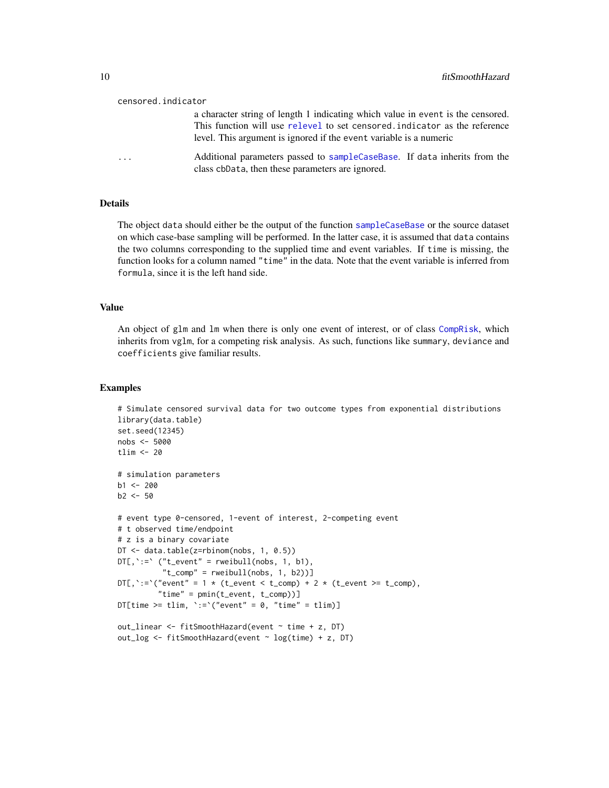<span id="page-9-0"></span>

|                         | censored.indicator                                                                                                                                                                                                                 |
|-------------------------|------------------------------------------------------------------------------------------------------------------------------------------------------------------------------------------------------------------------------------|
|                         | a character string of length 1 indicating which value in event is the censored.<br>This function will use relevel to set censored indicator as the reference<br>level. This argument is ignored if the event variable is a numeric |
| $\cdot$ $\cdot$ $\cdot$ | Additional parameters passed to sampleCaseBase. If data inherits from the<br>class cbData, then these parameters are ignored.                                                                                                      |

#### Details

The object data should either be the output of the function [sampleCaseBase](#page-12-1) or the source dataset on which case-base sampling will be performed. In the latter case, it is assumed that data contains the two columns corresponding to the supplied time and event variables. If time is missing, the function looks for a column named "time" in the data. Note that the event variable is inferred from formula, since it is the left hand side.

#### Value

An object of glm and lm when there is only one event of interest, or of class [CompRisk](#page-5-1), which inherits from vglm, for a competing risk analysis. As such, functions like summary, deviance and coefficients give familiar results.

```
# Simulate censored survival data for two outcome types from exponential distributions
library(data.table)
set.seed(12345)
nobs <- 5000
tlim <-20# simulation parameters
b1 < -200b2 < -50# event type 0-censored, 1-event of interest, 2-competing event
# t observed time/endpoint
# z is a binary covariate
DT <- data.table(z=rbinom(nobs, 1, 0.5))
DT[, \rightrightarrows ("t_event" = rweibull(nobs, 1, b1),
          "t_{comp" = rweibull(nobs, 1, b2))]DT[, `:=`("event" = 1 * (t_event < t_comp) + 2 * (t_event >= t_comp),
         "time" = pmin(t_event, t_comp))]
DT[time >= tlim, \text{':='}("event" = 0, "time" = \text{tlim})]
out_linear <- fitSmoothHazard(event ~ time + z, DT)
out_log <- fitSmoothHazard(event ~ log(time) + z, DT)
```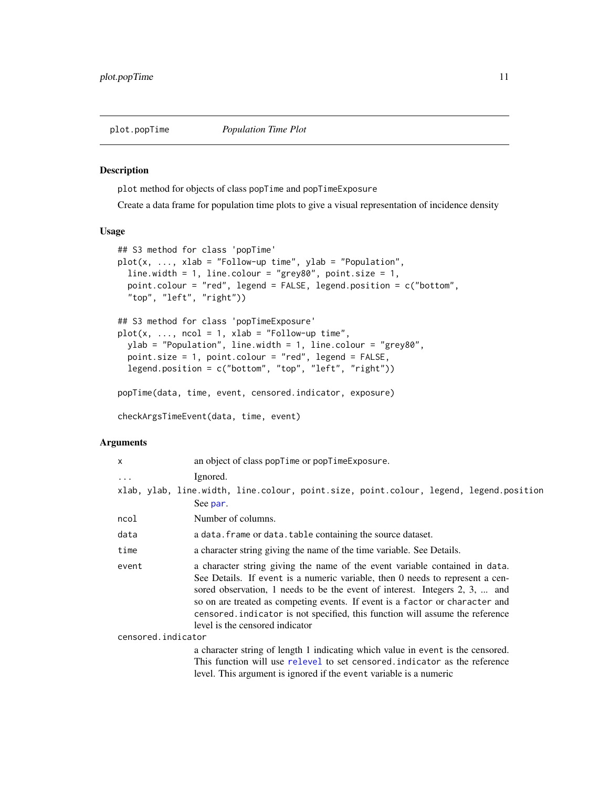<span id="page-10-1"></span><span id="page-10-0"></span>

#### <span id="page-10-2"></span>Description

plot method for objects of class popTime and popTimeExposure

Create a data frame for population time plots to give a visual representation of incidence density

#### Usage

```
## S3 method for class 'popTime'
plot(x, ..., xlab = "Follow-up time", ylab = "Population",
  line.width = 1, line.colour = "grey80", point.size = 1,
 point.colour = "red", legend = FALSE, legend.position = c("bottom",
  "top", "left", "right"))
## S3 method for class 'popTimeExposure'
plot(x, ..., ncol = 1, xlab = "Follow-up time",ylab = "Population", line.width = 1, line.colour = "grey80",
 point.size = 1, point.colour = "red", legend = FALSE,
  legend.position = c("bottom", "top", "left", "right"))
popTime(data, time, event, censored.indicator, exposure)
checkArgsTimeEvent(data, time, event)
```
#### Arguments

| $\mathsf{x}$       | an object of class popTime or popTimeExposure.                                                                                                                                                                                                                                                                                                                                                                                                 |
|--------------------|------------------------------------------------------------------------------------------------------------------------------------------------------------------------------------------------------------------------------------------------------------------------------------------------------------------------------------------------------------------------------------------------------------------------------------------------|
| $\ddotsc$          | Ignored.                                                                                                                                                                                                                                                                                                                                                                                                                                       |
|                    | xlab, ylab, line.width, line.colour, point.size, point.colour, legend, legend.position                                                                                                                                                                                                                                                                                                                                                         |
|                    | See par.                                                                                                                                                                                                                                                                                                                                                                                                                                       |
| ncol               | Number of columns.                                                                                                                                                                                                                                                                                                                                                                                                                             |
| data               | a data. frame or data. table containing the source dataset.                                                                                                                                                                                                                                                                                                                                                                                    |
| time               | a character string giving the name of the time variable. See Details.                                                                                                                                                                                                                                                                                                                                                                          |
| event              | a character string giving the name of the event variable contained in data.<br>See Details. If event is a numeric variable, then 0 needs to represent a cen-<br>sored observation, 1 needs to be the event of interest. Integers 2, 3,  and<br>so on are treated as competing events. If event is a factor or character and<br>censored indicator is not specified, this function will assume the reference<br>level is the censored indicator |
| censored.indicator |                                                                                                                                                                                                                                                                                                                                                                                                                                                |
|                    | a character string of length 1 indicating which value in event is the censored.<br>This function will use relevel to set censored indicator as the reference<br>level. This argument is ignored if the event variable is a numeric                                                                                                                                                                                                             |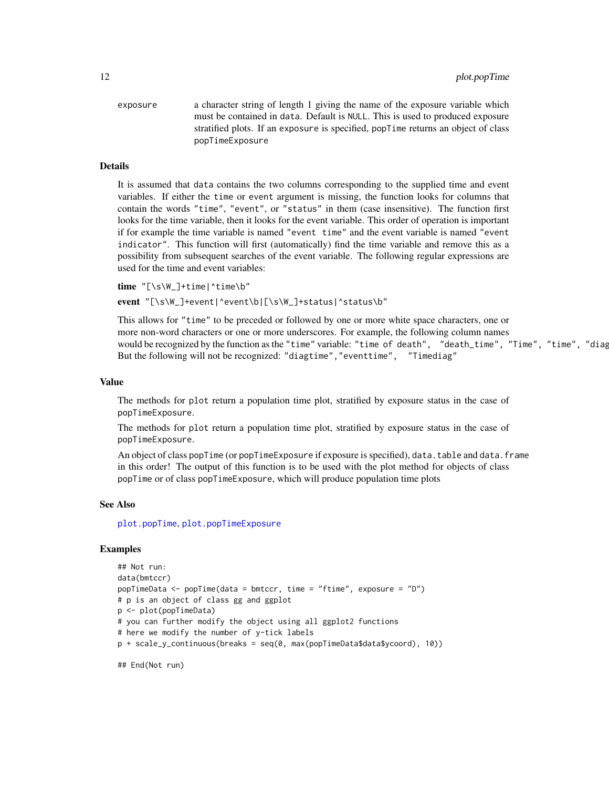```
exposure a character string of length 1 giving the name of the exposure variable which
                  must be contained in data. Default is NULL. This is used to produced exposure
                  stratified plots. If an exposure is specified, popTime returns an object of class
                  popTimeExposure
```
#### Details

It is assumed that data contains the two columns corresponding to the supplied time and event variables. If either the time or event argument is missing, the function looks for columns that contain the words "time", "event", or "status" in them (case insensitive). The function first looks for the time variable, then it looks for the event variable. This order of operation is important if for example the time variable is named "event time" and the event variable is named "event indicator". This function will first (automatically) find the time variable and remove this as a possibility from subsequent searches of the event variable. The following regular expressions are used for the time and event variables:

```
time "[\s\W_]+time|^time\b"
event "[\s\W_]+event|^event\b|[\s\W_]+status|^status\b"
```
This allows for "time" to be preceded or followed by one or more white space characters, one or more non-word characters or one or more underscores. For example, the following column names would be recognized by the function as the "time" variable: "time of death", "death\_time", "Time", "time", "diag But the following will not be recognized: "diagtime","eventtime", "Timediag"

#### Value

The methods for plot return a population time plot, stratified by exposure status in the case of popTimeExposure.

The methods for plot return a population time plot, stratified by exposure status in the case of popTimeExposure.

An object of class popTime (or popTimeExposure if exposure is specified), data.table and data.frame in this order! The output of this function is to be used with the plot method for objects of class popTime or of class popTimeExposure, which will produce population time plots

#### See Also

[plot.popTime](#page-10-1), [plot.popTimeExposure](#page-10-2)

```
## Not run:
data(bmtccr)
popTimeData <- popTime(data = bmtccr, time = "ftime", exposure = "D")
# p is an object of class gg and ggplot
p <- plot(popTimeData)
# you can further modify the object using all ggplot2 functions
# here we modify the number of y-tick labels
p + scale_y_continuous(breaks = seq(0, max(popTimeData$data$ycoord), 10))
```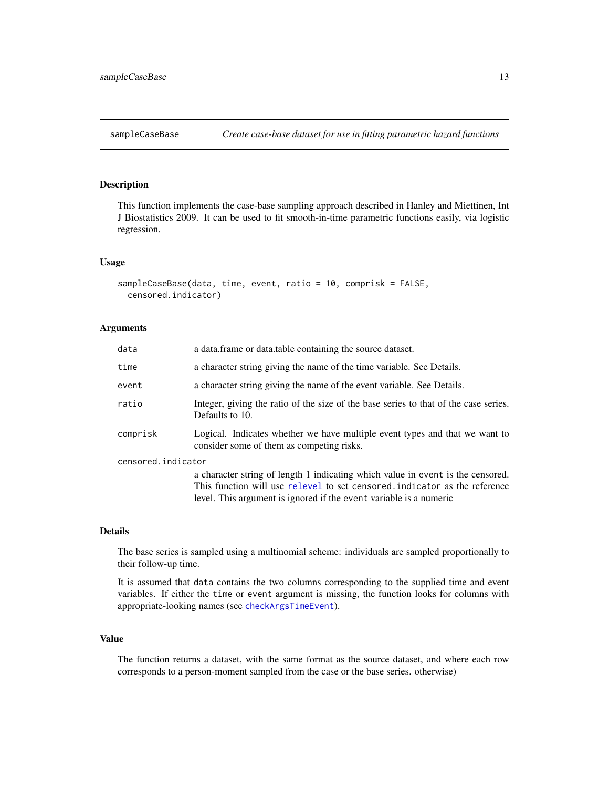#### <span id="page-12-1"></span><span id="page-12-0"></span>Description

This function implements the case-base sampling approach described in Hanley and Miettinen, Int J Biostatistics 2009. It can be used to fit smooth-in-time parametric functions easily, via logistic regression.

#### Usage

```
sampleCaseBase(data, time, event, ratio = 10, comprisk = FALSE,
 censored.indicator)
```
#### Arguments

| data               | a data. frame or data. table containing the source dataset.                                                              |
|--------------------|--------------------------------------------------------------------------------------------------------------------------|
| time               | a character string giving the name of the time variable. See Details.                                                    |
| event              | a character string giving the name of the event variable. See Details.                                                   |
| ratio              | Integer, giving the ratio of the size of the base series to that of the case series.<br>Defaults to 10.                  |
| comprisk           | Logical. Indicates whether we have multiple event types and that we want to<br>consider some of them as competing risks. |
| censored.indicator |                                                                                                                          |
|                    | a character string of length 1 indicating which value in event is the censored.                                          |
|                    | This function will use relevel to set censored indicator as the reference                                                |
|                    | level. This argument is ignored if the event variable is a numeric                                                       |

#### Details

The base series is sampled using a multinomial scheme: individuals are sampled proportionally to their follow-up time.

It is assumed that data contains the two columns corresponding to the supplied time and event variables. If either the time or event argument is missing, the function looks for columns with appropriate-looking names (see [checkArgsTimeEvent](#page-10-2)).

#### Value

The function returns a dataset, with the same format as the source dataset, and where each row corresponds to a person-moment sampled from the case or the base series. otherwise)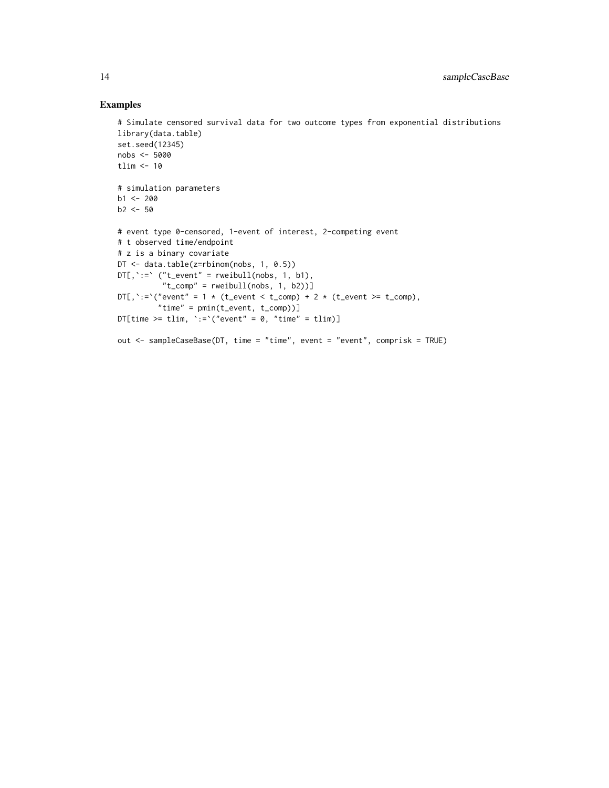```
# Simulate censored survival data for two outcome types from exponential distributions
library(data.table)
set.seed(12345)
nobs <- 5000
tlim <- 10
# simulation parameters
b1 < -200b2 < -50# event type 0-censored, 1-event of interest, 2-competing event
# t observed time/endpoint
# z is a binary covariate
DT <- data.table(z=rbinom(nobs, 1, 0.5))
DT[, \rightrightarrows ("t_event" = rweibull(nobs, 1, b1),
          "t_comp" = rweibull(nobs, 1, b2))]
DT[, `:=`("event" = 1 * (t_event < t_comp) + 2 * (t_event >= t_comp),
         "time" = pmin(t_event, t_comp))]
DT[time >= tlim, \text{':=}'("event" = 0, "time" = tlim)]
out <- sampleCaseBase(DT, time = "time", event = "event", comprisk = TRUE)
```